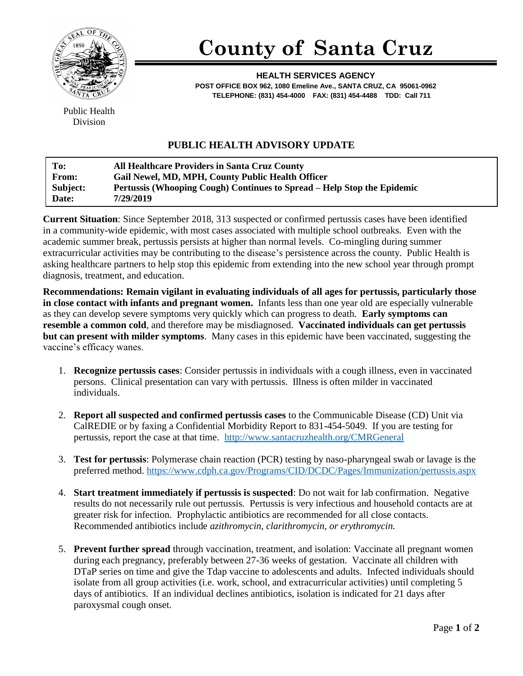

## **County of Santa Cruz**

**HEALTH SERVICES AGENCY POST OFFICE BOX 962, 1080 Emeline Ave., SANTA CRUZ, CA 95061-0962 TELEPHONE: (831) 454-4000 FAX: (831) 454-4488 TDD: Call 711**

Public Health Division

## **PUBLIC HEALTH ADVISORY UPDATE**

| To:          | <b>All Healthcare Providers in Santa Cruz County</b>                    |
|--------------|-------------------------------------------------------------------------|
| <b>From:</b> | Gail Newel, MD, MPH, County Public Health Officer                       |
| Subject:     | Pertussis (Whooping Cough) Continues to Spread – Help Stop the Epidemic |
| Date:        | 7/29/2019                                                               |

**Current Situation**: Since September 2018, 313 suspected or confirmed pertussis cases have been identified in a community-wide epidemic, with most cases associated with multiple school outbreaks. Even with the academic summer break, pertussis persists at higher than normal levels. Co-mingling during summer extracurricular activities may be contributing to the disease's persistence across the county. Public Health is asking healthcare partners to help stop this epidemic from extending into the new school year through prompt diagnosis, treatment, and education.

**Recommendations: Remain vigilant in evaluating individuals of all ages for pertussis, particularly those in close contact with infants and pregnant women.** Infants less than one year old are especially vulnerable as they can develop severe symptoms very quickly which can progress to death. **Early symptoms can resemble a common cold**, and therefore may be misdiagnosed. **Vaccinated individuals can get pertussis but can present with milder symptoms**. Many cases in this epidemic have been vaccinated, suggesting the vaccine's efficacy wanes.

- 1. **Recognize pertussis cases**: Consider pertussis in individuals with a cough illness, even in vaccinated persons. Clinical presentation can vary with pertussis. Illness is often milder in vaccinated individuals.
- 2. **Report all suspected and confirmed pertussis cases** to the Communicable Disease (CD) Unit via CalREDIE or by faxing a Confidential Morbidity Report to 831-454-5049. If you are testing for pertussis, report the case at that time. <http://www.santacruzhealth.org/CMRGeneral>
- 3. **Test for pertussis**: Polymerase chain reaction (PCR) testing by naso-pharyngeal swab or lavage is the preferred method.<https://www.cdph.ca.gov/Programs/CID/DCDC/Pages/Immunization/pertussis.aspx>
- 4. **Start treatment immediately if pertussis is suspected**: Do not wait for lab confirmation. Negative results do not necessarily rule out pertussis. Pertussis is very infectious and household contacts are at greater risk for infection. Prophylactic antibiotics are recommended for all close contacts. Recommended antibiotics include *azithromycin, clarithromycin, or erythromycin.*
- 5. **Prevent further spread** through vaccination, treatment, and isolation: Vaccinate all pregnant women during each pregnancy, preferably between 27-36 weeks of gestation. Vaccinate all children with DTaP series on time and give the Tdap vaccine to adolescents and adults. Infected individuals should isolate from all group activities (i.e. work, school, and extracurricular activities) until completing 5 days of antibiotics. If an individual declines antibiotics, isolation is indicated for 21 days after paroxysmal cough onset.